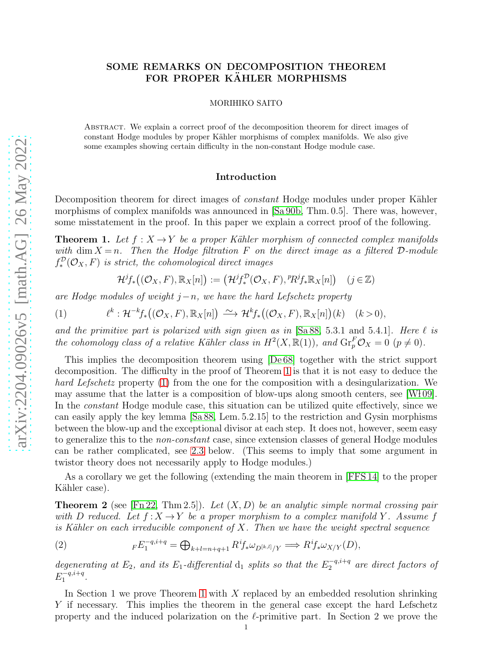# SOME REMARKS ON DECOMPOSITION THEOREM FOR PROPER KÄHLER MORPHISMS

MORIHIKO SAITO

Abstract. We explain a correct proof of the decomposition theorem for direct images of constant Hodge modules by proper Kähler morphisms of complex manifolds. We also give some examples showing certain difficulty in the non-constant Hodge module case.

### <span id="page-0-1"></span>Introduction

Decomposition theorem for direct images of *constant* Hodge modules under proper Kähler morphisms of complex manifolds was announced in [\[Sa 90b,](#page-11-0) Thm. 0.5]. There was, however, some misstatement in the proof. In this paper we explain a correct proof of the following.

<span id="page-0-0"></span>**Theorem 1.** Let  $f: X \to Y$  be a proper Kähler morphism of connected complex manifolds with dim  $X = n$ . Then the Hodge filtration F on the direct image as a filtered D-module  $f^{\mathcal{D}}_*(\mathcal{O}_X, F)$  is strict, the cohomological direct images

$$
\mathcal{H}^j f_*((\mathcal{O}_X, F), \mathbb{R}_X[n]) := (\mathcal{H}^j f_*^{\mathcal{D}}(\mathcal{O}_X, F), {}^p R^j f_* \mathbb{R}_X[n]) \quad (j \in \mathbb{Z})
$$

are Hodge modules of weight  $j-n$ , we have the hard Lefschetz property

(1) 
$$
\ell^k : \mathcal{H}^{-k}f_*((\mathcal{O}_X, F), \mathbb{R}_X[n]) \xrightarrow{\sim} \mathcal{H}^k f_*((\mathcal{O}_X, F), \mathbb{R}_X[n])(k) \quad (k > 0),
$$

and the primitive part is polarized with sign given as in  $[Sa 88, 5.3.1 \text{ and } 5.4.1]$  $[Sa 88, 5.3.1 \text{ and } 5.4.1]$ . Here  $\ell$  is the cohomology class of a relative Kähler class in  $H^2(X, \mathbb{R}(1))$ , and  $\text{Gr}_p^F \mathcal{O}_X = 0$   $(p \neq 0)$ .

This implies the decomposition theorem using [\[De 68\]](#page-11-2) together with the strict support decomposition. The difficulty in the proof of Theorem [1](#page-0-0) is that it is not easy to deduce the hard Lefschetz property [\(1\)](#page-0-1) from the one for the composition with a desingularization. We may assume that the latter is a composition of blow-ups along smooth centers, see [W109]. In the constant Hodge module case, this situation can be utilized quite effectively, since we can easily apply the key lemma [\[Sa 88,](#page-11-1) Lem. 5.2.15] to the restriction and Gysin morphisms between the blow-up and the exceptional divisor at each step. It does not, however, seem easy to generalize this to the *non-constant* case, since extension classes of general Hodge modules can be rather complicated, see [2.3](#page-6-0) below. (This seems to imply that some argument in twistor theory does not necessarily apply to Hodge modules.)

As a corollary we get the following (extending the main theorem in [\[FFS 14\]](#page-11-4) to the proper Kähler case).

<span id="page-0-2"></span>**Theorem 2** (see [\[Fn 22,](#page-11-5) Thm 2.5]). Let  $(X, D)$  be an analytic simple normal crossing pair with D reduced. Let  $f: X \to Y$  be a proper morphism to a complex manifold Y. Assume f is Kähler on each irreducible component of X. Then we have the weight spectral sequence

<span id="page-0-3"></span>(2) 
$$
_FE_1^{-q,i+q} = \bigoplus_{k+l=n+q+1} R^i f_* \omega_{D^{[k,l]}/Y} \Longrightarrow R^i f_* \omega_{X/Y}(D),
$$

degenerating at  $E_2$ , and its  $E_1$ -differential  $d_1$  splits so that the  $E_2^{-q,i+q}$  are direct factors of  $E_1^{-q,i+q}$  $1^{q, i+q}$ .

In Section 1 we prove Theorem [1](#page-0-0) with X replaced by an embedded resolution shrinking Y if necessary. This implies the theorem in the general case except the hard Lefschetz property and the induced polarization on the  $\ell$ -primitive part. In Section 2 we prove the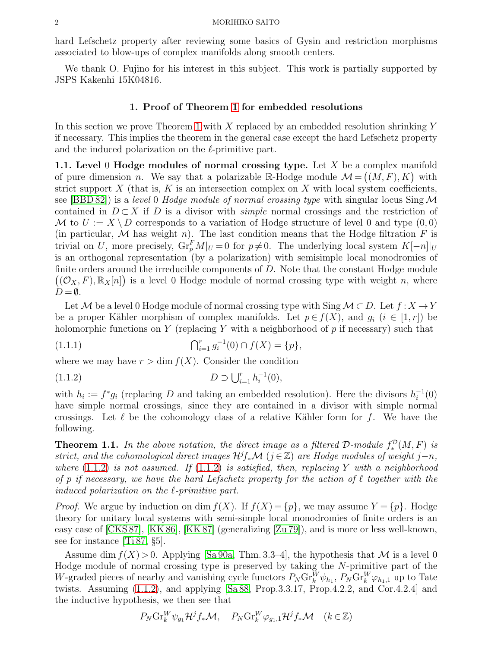hard Lefschetz property after reviewing some basics of Gysin and restriction morphisms associated to blow-ups of complex manifolds along smooth centers.

We thank O. Fujino for his interest in this subject. This work is partially supported by JSPS Kakenhi 15K04816.

## 1. Proof of Theorem [1](#page-0-0) for embedded resolutions

In this section we prove Theorem [1](#page-0-0) with X replaced by an embedded resolution shrinking Y if necessary. This implies the theorem in the general case except the hard Lefschetz property and the induced polarization on the  $\ell$ -primitive part.

1.1. Level 0 Hodge modules of normal crossing type. Let X be a complex manifold of pure dimension *n*. We say that a polarizable R-Hodge module  $\mathcal{M} = ((M, F), K)$  with strict support  $X$  (that is,  $K$  is an intersection complex on  $X$  with local system coefficients, see [\[BBD 82\]](#page-10-0)) is a level 0 Hodge module of normal crossing type with singular locus  $\text{Sing }\mathcal{M}$ contained in  $D \subset X$  if D is a divisor with *simple* normal crossings and the restriction of M to  $U := X \setminus D$  corresponds to a variation of Hodge structure of level 0 and type  $(0, 0)$ (in particular, M has weight n). The last condition means that the Hodge filtration F is trivial on U, more precisely,  $\mathrm{Gr}_{p}^{F} M|_{U} = 0$  for  $p \neq 0$ . The underlying local system  $K[-n]|_{U}$ is an orthogonal representation (by a polarization) with semisimple local monodromies of finite orders around the irreducible components of  $D$ . Note that the constant Hodge module  $((\mathcal{O}_X, F), \mathbb{R}_X[n])$  is a level 0 Hodge module of normal crossing type with weight n, where  $D = \emptyset$ .

Let M be a level 0 Hodge module of normal crossing type with Sing  $\mathcal{M} \subset D$ . Let  $f : X \to Y$ be a proper Kähler morphism of complex manifolds. Let  $p \in f(X)$ , and  $g_i$   $(i \in [1, r])$  be holomorphic functions on Y (replacing Y with a neighborhood of  $p$  if necessary) such that

<span id="page-1-1"></span>(1.1.1) 
$$
\bigcap_{i=1}^r g_i^{-1}(0) \cap f(X) = \{p\},
$$

where we may have  $r > \dim f(X)$ . Consider the condition

<span id="page-1-0"></span>
$$
(1.1.2) \t\t D \supset \bigcup_{i=1}^r h_i^{-1}(0),
$$

with  $h_i := f^* g_i$  (replacing D and taking an embedded resolution). Here the divisors  $h_i^{-1}$  $i^{-1}(0)$ have simple normal crossings, since they are contained in a divisor with simple normal crossings. Let  $\ell$  be the cohomology class of a relative Kähler form for f. We have the following.

<span id="page-1-2"></span>**Theorem 1.1.** In the above notation, the direct image as a filtered  $\mathcal{D}\text{-module } f^{\mathcal{D}}_*(M,F)$  is strict, and the cohomological direct images  $\mathcal{H}^{j}f_{*}\mathcal{M}$  (j  $\in \mathbb{Z}$ ) are Hodge modules of weight j–n, where  $(1.1.2)$  is not assumed. If  $(1.1.2)$  is satisfied, then, replacing Y with a neighborhood of p if necessary, we have the hard Lefschetz property for the action of  $\ell$  together with the induced polarization on the ℓ-primitive part.

*Proof.* We argue by induction on dim  $f(X)$ . If  $f(X) = \{p\}$ , we may assume  $Y = \{p\}$ . Hodge theory for unitary local systems with semi-simple local monodromies of finite orders is an easy case of [\[CKS 87\]](#page-11-6), [\[KK 86\]](#page-11-7), [\[KK 87\]](#page-11-8) (generalizing [\[Zu 79\]](#page-11-9)), and is more or less well-known, see for instance [\[Ti 87,](#page-11-10) §5].

Assume dim  $f(X) > 0$ . Applying [\[Sa 90a,](#page-11-11) Thm. 3.3–4], the hypothesis that M is a level 0 Hodge module of normal crossing type is preserved by taking the N-primitive part of the W-graded pieces of nearby and vanishing cycle functors  $P_N \text{Gr}_k^W \psi_{h_1}, P_N \text{Gr}_k^W \varphi_{h_1,1}$  up to Tate twists. Assuming [\(1.1.2\)](#page-1-0), and applying [\[Sa 88,](#page-11-1) Prop.3.3.17, Prop.4.2.2, and Cor.4.2.4] and the inductive hypothesis, we then see that

$$
P_N \text{Gr}_k^W \psi_{g_1} \mathcal{H}^j f_* \mathcal{M}, \quad P_N \text{Gr}_k^W \varphi_{g_1,1} \mathcal{H}^j f_* \mathcal{M} \quad (k \in \mathbb{Z})
$$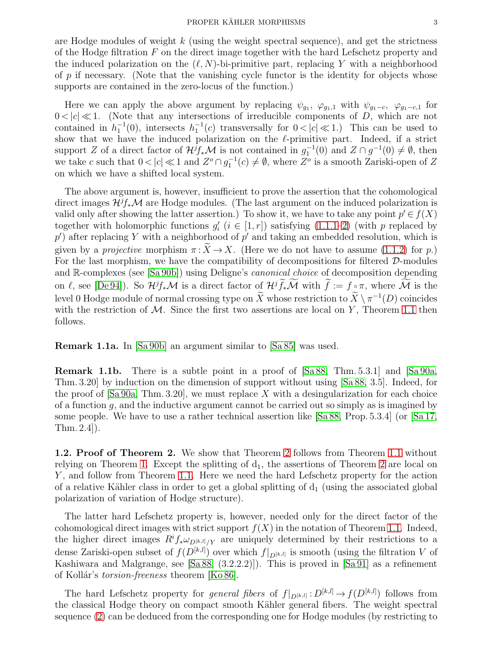are Hodge modules of weight  $k$  (using the weight spectral sequence), and get the strictness of the Hodge filtration  $F$  on the direct image together with the hard Lefschetz property and the induced polarization on the  $(\ell, N)$ -bi-primitive part, replacing Y with a neighborhood of p if necessary. (Note that the vanishing cycle functor is the identity for objects whose supports are contained in the zero-locus of the function.)

Here we can apply the above argument by replacing  $\psi_{g_1}, \varphi_{g_1,1}$  with  $\psi_{g_1-c}, \varphi_{g_1-c,1}$  for  $0 < |c| \ll 1$ . (Note that any intersections of irreducible components of D, which are not contained in  $h_1^{-1}(0)$ , intersects  $h_1^{-1}(c)$  transversally for  $0 < |c| \ll 1$ .) This can be used to show that we have the induced polarization on the  $\ell$ -primitive part. Indeed, if a strict support Z of a direct factor of  $\mathcal{H}^{j}f_{*}\mathcal{M}$  is not contained in  $g_{1}^{-1}(0)$  and  $Z \cap g^{-1}(0) \neq \emptyset$ , then we take c such that  $0 < |c| \ll 1$  and  $Z^{\circ} \cap g_1^{-1}(c) \neq \emptyset$ , where  $Z^{\circ}$  is a smooth Zariski-open of Z on which we have a shifted local system.

The above argument is, however, insufficient to prove the assertion that the cohomological direct images  $\mathcal{H}^{j}f_{*}\mathcal{M}$  are Hodge modules. (The last argument on the induced polarization is valid only after showing the latter assertion.) To show it, we have to take any point  $p' \in f(X)$ together with holomorphic functions  $g'_{i}$   $(i \in [1, r])$  satisfying  $(1.1.1-2)$  (with p replaced by  $p'$ ) after replacing Y with a neighborhood of  $p'$  and taking an embedded resolution, which is given by a *projective* morphism  $\pi : \widetilde{X} \to X$ . (Here we do not have to assume [\(1.1.2\)](#page-1-0) for p.) For the last morphism, we have the compatibility of decompositions for filtered  $\mathcal{D}\text{-modules}$ and R-complexes (see [\[Sa 90b\]](#page-11-0)) using Deligne's *canonical choice* of decomposition depending on ℓ, see [\[De 94\]](#page-11-12)). So  $\mathcal{H}^{j}f_{*}\mathcal{M}$  is a direct factor of  $\mathcal{H}^{j}\tilde{f}_{*}\tilde{\mathcal{M}}$  with  $\tilde{f} := f \circ \pi$ , where  $\tilde{\mathcal{M}}$  is the level 0 Hodge module of normal crossing type on  $\overline{X}$  whose restriction to  $\overline{X} \setminus \pi^{-1}(D)$  coincides with the restriction of  $M$ . Since the first two assertions are local on Y, Theorem [1.1](#page-1-2) then follows.

Remark 1.1a. In [\[Sa 90b\]](#page-11-0) an argument similar to [\[Sa 85\]](#page-11-13) was used.

Remark 1.1b. There is a subtle point in a proof of [\[Sa 88,](#page-11-1) Thm. 5.3.1] and [\[Sa 90a,](#page-11-11) Thm. 3.20] by induction on the dimension of support without using [\[Sa](#page-11-1) 88, 3.5]. Indeed, for the proof of  $\lceil \text{Sa}\, 90a, \text{Thm. } 3.20 \rceil$ , we must replace X with a desingularization for each choice of a function  $q$ , and the inductive argument cannot be carried out so simply as is imagined by some people. We have to use a rather technical assertion like [\[Sa 88,](#page-11-1) Prop. 5.3.4] (or [\[Sa 17,](#page-11-14) Thm. 2.4]).

**1.2. Proof of Theorem [2](#page-0-2).** We show that Theorem 2 follows from Theorem [1.1](#page-1-2) without relying on Theorem [1.](#page-0-0) Except the splitting of  $d_1$ , the assertions of Theorem [2](#page-0-2) are local on Y, and follow from Theorem [1.1.](#page-1-2) Here we need the hard Lefschetz property for the action of a relative Kähler class in order to get a global splitting of  $d_1$  (using the associated global polarization of variation of Hodge structure).

The latter hard Lefschetz property is, however, needed only for the direct factor of the cohomological direct images with strict support  $f(X)$  in the notation of Theorem [1.1.](#page-1-2) Indeed, the higher direct images  $R^i f_* \omega_{D^{[k,l]}/Y}$  are uniquely determined by their restrictions to a dense Zariski-open subset of  $f(D^{[k,l]})$  over which  $f|_{D^{[k,l]}}$  is smooth (using the filtration V of Kashiwara and Malgrange, see [\[Sa 88,](#page-11-1) (3.2.2.2)]). This is proved in [\[Sa 91\]](#page-11-15) as a refinement of Kollár's *torsion-freeness* theorem [\[Ko 86\]](#page-11-16).

The hard Lefschetz property for *general fibers* of  $f|_{D^{[k,l]}} : D^{[k,l]} \to f(D^{[k,l]})$  follows from the classical Hodge theory on compact smooth Kähler general fibers. The weight spectral sequence [\(2\)](#page-0-3) can be deduced from the corresponding one for Hodge modules (by restricting to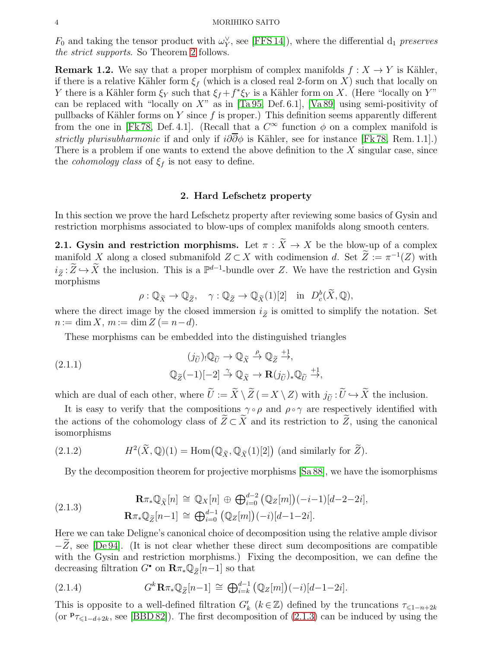$F_0$  and taking the tensor product with  $\omega_Y^{\vee}$ , see [\[FFS 14\]](#page-11-4)), where the differential  $d_1$  preserves the strict supports. So Theorem [2](#page-0-2) follows.

**Remark 1.2.** We say that a proper morphism of complex manifolds  $f : X \to Y$  is Kähler, if there is a relative Kähler form  $\xi_f$  (which is a closed real 2-form on X) such that locally on Y there is a Kähler form  $\xi_Y$  such that  $\xi_f + f^* \xi_Y$  is a Kähler form on X. (Here "locally on Y" can be replaced with "locally on  $X$ " as in [\[Ta 95,](#page-11-17) Def. 6.1], [\[Va 89\]](#page-11-18) using semi-positivity of pullbacks of Kähler forms on Y since  $f$  is proper.) This definition seems apparently different from the one in [\[Fk 78,](#page-11-19) Def. 4.1]. (Recall that a  $C^{\infty}$  function  $\phi$  on a complex manifold is strictly plurisubharmonic if and only if  $i\partial\partial\phi$  is Kähler, see for instance [\[Fk 78,](#page-11-19) Rem. 1.1].) There is a problem if one wants to extend the above definition to the  $X$  singular case, since the *cohomology class* of  $\xi_f$  is not easy to define.

## 2. Hard Lefschetz property

In this section we prove the hard Lefschetz property after reviewing some basics of Gysin and restriction morphisms associated to blow-ups of complex manifolds along smooth centers.

<span id="page-3-1"></span>**2.1. Gysin and restriction morphisms.** Let  $\pi : \widetilde{X} \to X$  be the blow-up of a complex manifold X along a closed submanifold  $Z \subset X$  with codimension d. Set  $Z := \pi^{-1}(Z)$  with  $i_{\tilde{Z}}:\tilde{Z}\hookrightarrow\tilde{X}$  the inclusion. This is a  $\mathbb{P}^{d-1}$ -bundle over Z. We have the restriction and Gysin morphisms

$$
\rho: \mathbb{Q}_{\widetilde{X}} \to \mathbb{Q}_{\widetilde{Z}}, \quad \gamma: \mathbb{Q}_{\widetilde{Z}} \to \mathbb{Q}_{\widetilde{X}}(1)[2] \quad \text{in} \quad D^b_c(\widetilde{X}, \mathbb{Q}),
$$

where the direct image by the closed immersion  $i_{\tilde{z}}$  is omitted to simplify the notation. Set  $n := \dim X, m := \dim Z (= n - d).$ 

These morphisms can be embedded into the distinguished triangles

(2.1.1) 
$$
(j_{\tilde{U}})_{!}\mathbb{Q}_{\tilde{U}} \to \mathbb{Q}_{\tilde{X}} \xrightarrow{\rho} \mathbb{Q}_{\tilde{Z}} \xrightarrow{+1},
$$

$$
\mathbb{Q}_{\tilde{Z}}(-1)[-2] \xrightarrow{\gamma} \mathbb{Q}_{\tilde{X}} \to \mathbf{R}(j_{\tilde{U}})_{*}\mathbb{Q}_{\tilde{U}} \xrightarrow{+1},
$$

which are dual of each other, where  $\tilde{U} := \tilde{X} \setminus \tilde{Z} (= X \setminus Z)$  with  $j_{\tilde{U}} : \tilde{U} \hookrightarrow \tilde{X}$  the inclusion.

It is easy to verify that the compositions  $\gamma \circ \rho$  and  $\rho \circ \gamma$  are respectively identified with the actions of the cohomology class of  $\widetilde{Z} \subset \widetilde{X}$  and its restriction to  $\widetilde{Z}$ , using the canonical isomorphisms

(2.1.2) 
$$
H^2(\widetilde{X}, \mathbb{Q})(1) = \text{Hom}(\mathbb{Q}_{\widetilde{X}}, \mathbb{Q}_{\widetilde{X}}(1)[2]) \text{ (and similarly for } \widetilde{Z}).
$$

By the decomposition theorem for projective morphisms [\[Sa 88\]](#page-11-1), we have the isomorphisms

<span id="page-3-0"></span>(2.1.3) 
$$
\mathbf{R}\pi_*\mathbb{Q}_{\tilde{X}}[n] \cong \mathbb{Q}_X[n] \oplus \bigoplus_{i=0}^{d-2} (\mathbb{Q}_Z[m])(-i-1)[d-2-2i],
$$

$$
\mathbf{R}\pi_*\mathbb{Q}_{\tilde{Z}}[n-1] \cong \bigoplus_{i=0}^{d-1} (\mathbb{Q}_Z[m])(-i)[d-1-2i].
$$

Here we can take Deligne's canonical choice of decomposition using the relative ample divisor  $-Z$ , see [\[De 94\]](#page-11-12). (It is not clear whether these direct sum decompositions are compatible with the Gysin and restriction morphisms.) Fixing the decomposition, we can define the decreasing filtration  $G^{\bullet}$  on  $\mathbf{R}\pi_*\mathbb{Q}_{\widetilde{Z}}[n-1]$  so that

<span id="page-3-2"></span>(2.1.4) 
$$
G^{k} \mathbf{R} \pi_{*} \mathbb{Q}_{\widetilde{Z}}[n-1] \cong \bigoplus_{i=k}^{d-1} (\mathbb{Q}_{Z}[m])(-i)[d-1-2i].
$$

This is opposite to a well-defined filtration  $G'_{k}$  ( $k \in \mathbb{Z}$ ) defined by the truncations  $\tau_{\leq 1-n+2k}$ (or  $P_{\tau\leq 1-d+2k}$ , see [\[BBD 82\]](#page-10-0)). The first decomposition of [\(2.1.3\)](#page-3-0) can be induced by using the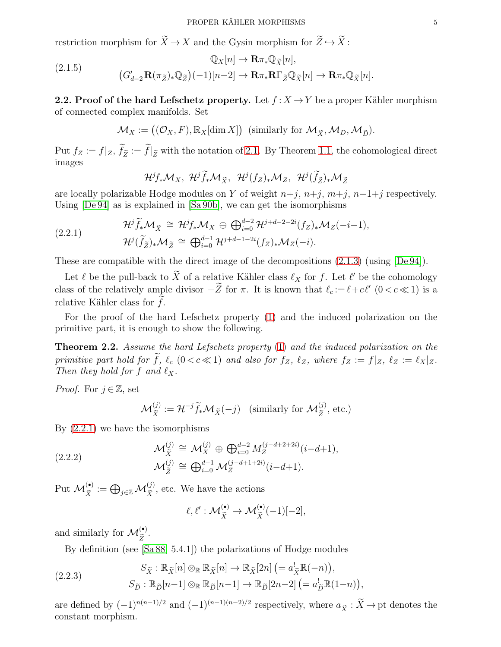restriction morphism for  $\widetilde{X} \to X$  and the Gysin morphism for  $\widetilde{Z} \hookrightarrow \widetilde{X}$ :

(2.1.5) 
$$
\mathbb{Q}_X[n] \to \mathbf{R}\pi_* \mathbb{Q}_{\tilde{X}}[n],
$$

$$
(G'_{d-2}\mathbf{R}(\pi_{\tilde{Z}})_*\mathbb{Q}_{\tilde{Z}})(-1)[n-2] \to \mathbf{R}\pi_*\mathbf{R}\Gamma_{\tilde{Z}}\mathbb{Q}_{\tilde{X}}[n] \to \mathbf{R}\pi_*\mathbb{Q}_{\tilde{X}}[n].
$$

**2.2. Proof of the hard Lefschetz property.** Let  $f : X \to Y$  be a proper Kähler morphism of connected complex manifolds. Set

$$
\mathcal{M}_X := ((\mathcal{O}_X, F), \mathbb{R}_X[\dim X]) \text{ (similarly for } \mathcal{M}_{\widetilde{X}}, \mathcal{M}_D, \mathcal{M}_{\widetilde{D}}).
$$

Put  $f_Z := f|_Z, f_{\widetilde{Z}} := f|_{\widetilde{Z}}$  with the notation of [2.1.](#page-3-1) By Theorem [1.1,](#page-1-2) the cohomological direct images

<span id="page-4-2"></span><span id="page-4-0"></span>
$$
\mathcal{H}^{j}f_{*}\mathcal{M}_{X}, \ \mathcal{H}^{j}\widetilde{f}_{*}\mathcal{M}_{\widetilde{X}}, \ \mathcal{H}^{j}(f_{Z})_{*}\mathcal{M}_{Z}, \ \mathcal{H}^{j}(\widetilde{f}_{\widetilde{Z}})_{*}\mathcal{M}_{\widetilde{Z}}
$$

are locally polarizable Hodge modules on Y of weight  $n+j$ ,  $n+j$ ,  $m+j$ ,  $n-1+j$  respectively. Using [\[De 94\]](#page-11-12) as is explained in [\[Sa 90b\]](#page-11-0), we can get the isomorphisms

(2.2.1) 
$$
\mathcal{H}^j \widetilde{f}_* \mathcal{M}_{\widetilde{X}} \cong \mathcal{H}^j f_* \mathcal{M}_X \oplus \bigoplus_{i=0}^{d-2} \mathcal{H}^{j+d-2-2i}(f_Z)_* \mathcal{M}_Z(-i-1), \n\mathcal{H}^j(\widetilde{f}_{\widetilde{Z}})_* \mathcal{M}_{\widetilde{Z}} \cong \bigoplus_{i=0}^{d-1} \mathcal{H}^{j+d-1-2i}(f_Z)_* \mathcal{M}_Z(-i).
$$

These are compatible with the direct image of the decompositions [\(2.1.3\)](#page-3-0) (using [\[De 94\]](#page-11-12)).

Let  $\ell$  be the pull-back to  $\tilde{X}$  of a relative Kähler class  $\ell_X$  for f. Let  $\ell'$  be the cohomology class of the relatively ample divisor  $-\overline{Z}$  for  $\pi$ . It is known that  $\ell_c := \ell + c\ell'$   $(0 < c \ll 1)$  is a relative Kähler class for  $f$ .

For the proof of the hard Lefschetz property [\(1\)](#page-0-1) and the induced polarization on the primitive part, it is enough to show the following.

<span id="page-4-3"></span>**Theorem 2.2.** Assume the hard Lefschetz property [\(1\)](#page-0-1) and the induced polarization on the primitive part hold for f,  $\ell_c$  (0 < c  $\ll$  1) and also for  $f_Z$ ,  $\ell_Z$ , where  $f_Z := f|_Z$ ,  $\ell_Z := \ell_X|_Z$ . Then they hold for f and  $\ell_X$ .

*Proof.* For  $j \in \mathbb{Z}$ , set

$$
\mathcal{M}_{\widetilde{X}}^{(j)} := \mathcal{H}^{-j} \widetilde{f}_* \mathcal{M}_{\widetilde{X}}(-j) \quad \text{(similarly for } \mathcal{M}_{\widetilde{Z}}^{(j)}, \text{ etc.)}
$$

By [\(2.2.1\)](#page-4-0) we have the isomorphisms

(2.2.2) 
$$
\mathcal{M}_{\tilde{X}}^{(j)} \cong \mathcal{M}_X^{(j)} \oplus \bigoplus_{i=0}^{d-2} M_Z^{(j-d+2+2i)}(i-d+1), \mathcal{M}_{\tilde{Z}}^{(j)} \cong \bigoplus_{i=0}^{d-1} \mathcal{M}_Z^{(j-d+1+2i)}(i-d+1).
$$

Put  $\mathcal{M}_{\tilde{X}}^{(\bullet)} := \bigoplus_{j\in\mathbb{Z}} \mathcal{M}_{\tilde{X}}^{(j)}$ , etc. We have the actions

<span id="page-4-4"></span><span id="page-4-1"></span>
$$
\ell, \ell' : \mathcal{M}_{\tilde{X}}^{(\bullet)} \to \mathcal{M}_{\tilde{X}}^{(\bullet)}(-1)[-2],
$$

and similarly for  $\mathcal{M}_{\widetilde{Z}}^{(\bullet)}$ .

By definition (see [\[Sa 88,](#page-11-1) 5.4.1]) the polarizations of Hodge modules

(2.2.3) 
$$
S_{\tilde{X}} : \mathbb{R}_{\tilde{X}}[n] \otimes_{\mathbb{R}} \mathbb{R}_{\tilde{X}}[n] \to \mathbb{R}_{\tilde{X}}[2n] \left(= a_{\tilde{X}}^{!} \mathbb{R}(-n) \right), S_{\tilde{D}} : \mathbb{R}_{\tilde{D}}[n-1] \otimes_{\mathbb{R}} \mathbb{R}_{\tilde{D}}[n-1] \to \mathbb{R}_{\tilde{D}}[2n-2] \left(= a_{\tilde{D}}^{!} \mathbb{R}(1-n) \right),
$$

are defined by  $(-1)^{n(n-1)/2}$  and  $(-1)^{(n-1)(n-2)/2}$  respectively, where  $a_{\tilde{X}} : \tilde{X} \to$  pt denotes the constant morphism.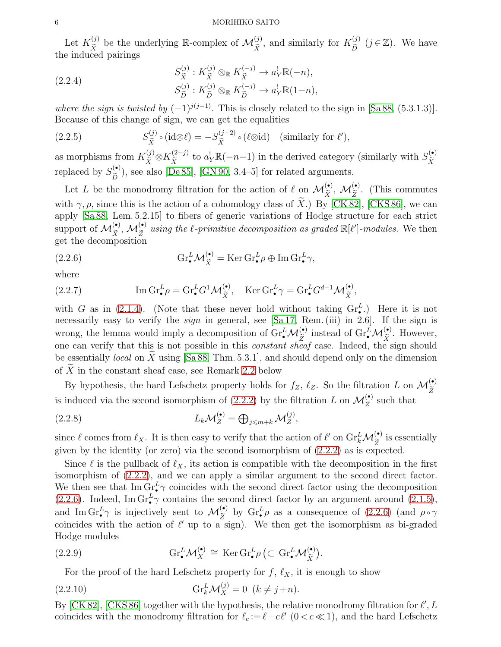#### 6 MORIHIKO SAITO

Let  $K_{\tilde{X}}^{(j)}$  be the underlying R-complex of  $\mathcal{M}_{\tilde{X}}^{(j)}$ , and similarly for  $K_{\tilde{D}}^{(j)}$   $(j \in \mathbb{Z})$ . We have the induced pairings

(2.2.4)  

$$
S_{\widetilde{X}}^{(j)} : K_{\widetilde{X}}^{(j)} \otimes_{\mathbb{R}} K_{\widetilde{X}}^{(-j)} \to a_Y^! \mathbb{R}(-n),
$$

$$
S_{\widetilde{D}}^{(j)} : K_{\widetilde{D}}^{(j)} \otimes_{\mathbb{R}} K_{\widetilde{D}}^{(-j)} \to a_Y^! \mathbb{R}(1-n),
$$

where the sign is twisted by  $(-1)^{j(j-1)}$ . This is closely related to the sign in [\[Sa 88,](#page-11-1) (5.3.1.3)]. Because of this change of sign, we can get the equalities

(2.2.5) 
$$
S_{\tilde{X}}^{(j)} \circ (\mathrm{id} \otimes \ell) = -S_{\tilde{X}}^{(j-2)} \circ (\ell \otimes \mathrm{id}) \quad (\text{similarly for } \ell'),
$$

as morphisms from  $K_{\tilde{X}}^{(j)} \otimes K_{\tilde{X}}^{(2-j)}$  to  $a_Y^{\dagger} \mathbb{R}(-n-1)$  in the derived category (similarly with  $S_{\tilde{X}}^{(\bullet)}$ )  $\tilde{\tilde{X}}$ replaced by  $S_{\tilde{P}}^{(\bullet)}$  $\sum_{\tilde{D}}^{(\bullet)}$ , see also [\[De 85\]](#page-11-20), [\[GN 90,](#page-11-21) 3.4–5] for related arguments.

Let L be the monodromy filtration for the action of  $\ell$  on  $\mathcal{M}_{\tilde{X}}^{(\bullet)}$ ,  $\mathcal{M}_{\tilde{Z}}^{(\bullet)}$ . (This commutes with  $\gamma$ ,  $\rho$ , since this is the action of a cohomology class of X.) By [\[CK 82\]](#page-11-22), [\[CKS 86\]](#page-11-23), we can apply [\[Sa 88,](#page-11-1) Lem. 5.2.15] to fibers of generic variations of Hodge structure for each strict support of  $\mathcal{M}_{\tilde{X}}^{(\bullet)}$ ,  $\mathcal{M}_{\tilde{Z}}^{(\bullet)}$  using the  $\ell$ -primitive decomposition as graded  $\mathbb{R}[\ell']$ -modules. We then get the decomposition

<span id="page-5-0"></span>(2.2.6) 
$$
\mathrm{Gr}_{\bullet}^{L} \mathcal{M}_{\widetilde{X}}^{(\bullet)} = \mathrm{Ker} \, \mathrm{Gr}_{\bullet}^{L} \rho \oplus \mathrm{Im} \, \mathrm{Gr}_{\bullet}^{L} \gamma,
$$

where

(2.2.7) 
$$
\operatorname{Im} \mathrm{Gr}_{\bullet}^{L} \rho = \operatorname{Gr}_{\bullet}^{L} G^{1} \mathcal{M}_{\tilde{X}}^{(\bullet)}, \quad \operatorname{Ker} \mathrm{Gr}_{\bullet}^{L} \gamma = \operatorname{Gr}_{\bullet}^{L} G^{d-1} \mathcal{M}_{\tilde{X}}^{(\bullet)},
$$

with G as in [\(2.1.4\)](#page-3-2). (Note that these never hold without taking  $\mathrm{Gr}_{\bullet}^{L}$ .) Here it is not necessarily easy to verify the *sign* in general, see [\[Sa 17,](#page-11-14) Rem. (iii) in 2.6]. If the sign is wrong, the lemma would imply a decomposition of  $\mathrm{Gr}_{\bullet}^{L} \mathcal{M}_{\widetilde{Z}}^{(\bullet)}$  instead of  $\mathrm{Gr}_{\bullet}^{L} \mathcal{M}_{\widetilde{X}}^{(\bullet)}$ . However, one can verify that this is not possible in this *constant sheaf* case. Indeed, the sign should be essentially *local* on  $\overline{X}$  using [\[Sa 88,](#page-11-1) Thm. 5.3.1], and should depend only on the dimension of  $\overline{X}$  in the constant sheaf case, see Remark [2.2](#page-6-1) below

By hypothesis, the hard Lefschetz property holds for  $f_Z$ ,  $\ell_Z$ . So the filtration L on  $\mathcal{M}_{\widetilde{Z}}^{(\bullet)}$ is induced via the second isomorphism of [\(2.2.2\)](#page-4-1) by the filtration L on  $\mathcal{M}_{Z}^{(\bullet)}$  such that

(2.2.8) 
$$
L_k \mathcal{M}_Z^{(\bullet)} = \bigoplus_{j \leq m+k} \mathcal{M}_Z^{(j)},
$$

since  $\ell$  comes from  $\ell_X$ . It is then easy to verify that the action of  $\ell'$  on  $\mathrm{Gr}_k^L \mathcal{M}_{\widetilde{Z}}^{(\bullet)}$  is essentially given by the identity (or zero) via the second isomorphism of [\(2.2.2\)](#page-4-1) as is expected.

Since  $\ell$  is the pullback of  $\ell_X$ , its action is compatible with the decomposition in the first isomorphism of [\(2.2.2\)](#page-4-1), and we can apply a similar argument to the second direct factor. We then see that  $\text{Im }\text{Gr}_{\bullet}^{L}\gamma$  coincides with the second direct factor using the decomposition [\(2.2.6\)](#page-5-0). Indeed, Im  $\text{Gr}_{\bullet}^{L}\gamma$  contains the second direct factor by an argument around [\(2.1.5\)](#page-4-2), and Im  $\text{Gr}_{\bullet}^L \gamma$  is injectively sent to  $\mathcal{M}_{\widetilde{Z}}^{(\bullet)}$  by  $\text{Gr}_{\bullet}^L \rho$  as a consequence of [\(2.2.6\)](#page-5-0) (and  $\rho \circ \gamma$ coincides with the action of  $\ell'$  up to a sign). We then get the isomorphism as bi-graded Hodge modules

(2.2.9) 
$$
\operatorname{Gr}_{\bullet}^{L} \mathcal{M}_{X}^{(\bullet)} \cong \operatorname{Ker} \operatorname{Gr}_{\bullet}^{L} \rho \left( \subset \operatorname{Gr}_{\bullet}^{L} \mathcal{M}_{\widetilde{X}}^{(\bullet)} \right).
$$

<span id="page-5-2"></span><span id="page-5-1"></span>For the proof of the hard Lefschetz property for  $f, \ell_X$ , it is enough to show

(2.2.10) 
$$
\text{Gr}_{k}^{L} \mathcal{M}_{X}^{(j)} = 0 \ \ (k \neq j+n).
$$

By [\[CK 82\]](#page-11-22), [\[CKS 86\]](#page-11-23) together with the hypothesis, the relative monodromy filtration for  $\ell', L$ coincides with the monodromy filtration for  $\ell_c := \ell + c\ell'$   $(0 < c \ll 1)$ , and the hard Lefschetz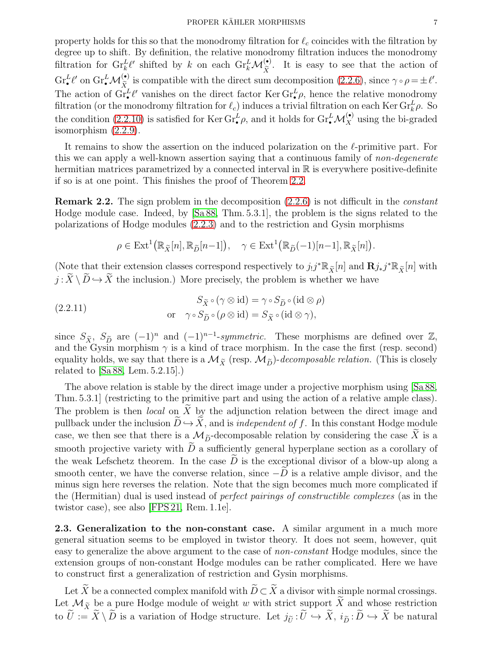property holds for this so that the monodromy filtration for  $\ell_c$  coincides with the filtration by degree up to shift. By definition, the relative monodromy filtration induces the monodromy filtration for  $\mathrm{Gr}_{k}^{L}\ell'$  shifted by k on each  $\mathrm{Gr}_{k}^{L}\mathcal{M}_{\tilde{X}}^{(\bullet)}$ . It is easy to see that the action of  $\text{Gr}_{\bullet}^{L}\ell'$  on  $\text{Gr}_{\bullet}^{L}\mathcal{M}_{\tilde{X}_{\bullet}}^{(\bullet)}$  is compatible with the direct sum decomposition [\(2.2.6\)](#page-5-0), since  $\gamma \circ \rho = \pm \ell'.$ The action of  $\mathrm{Gr}^L_{\bullet}\ell'$  vanishes on the direct factor Ker  $\mathrm{Gr}^L_{\bullet}\rho$ , hence the relative monodromy filtration (or the monodromy filtration for  $\ell_c$ ) induces a trivial filtration on each Ker Gr<sub>k</sub> $\rho$ . So the condition [\(2.2.10\)](#page-5-1) is satisfied for Ker  $\text{Gr}_{\bullet}^L \rho$ , and it holds for  $\text{Gr}_{\bullet}^L \mathcal{M}_{X}^{(\bullet)}$  using the bi-graded isomorphism [\(2.2.9\)](#page-5-2).

It remains to show the assertion on the induced polarization on the  $\ell$ -primitive part. For this we can apply a well-known assertion saying that a continuous family of non-degenerate hermitian matrices parametrized by a connected interval in  $\mathbb R$  is everywhere positive-definite if so is at one point. This finishes the proof of Theorem [2.2.](#page-4-3)

<span id="page-6-1"></span>Remark 2.2. The sign problem in the decomposition [\(2.2.6\)](#page-5-0) is not difficult in the constant Hodge module case. Indeed, by [\[Sa 88,](#page-11-1) Thm. 5.3.1], the problem is the signs related to the polarizations of Hodge modules [\(2.2.3\)](#page-4-4) and to the restriction and Gysin morphisms

$$
\rho \in \text{Ext}^1(\mathbb{R}_{\tilde{X}}[n], \mathbb{R}_{\tilde{D}}[n-1]), \quad \gamma \in \text{Ext}^1(\mathbb{R}_{\tilde{D}}(-1)[n-1], \mathbb{R}_{\tilde{X}}[n])
$$

(Note that their extension classes correspond respectively to  $j_!j^* \mathbb{R}_{\tilde{X}}[n]$  and  $\mathbf{R} j_*j^* \mathbb{R}_{\tilde{X}}[n]$  with  $j : \widetilde{X} \setminus \widetilde{D} \hookrightarrow \widetilde{X}$  the inclusion.) More precisely, the problem is whether we have

(2.2.11) 
$$
S_{\tilde{X}} \circ (\gamma \otimes id) = \gamma \circ S_{\tilde{D}} \circ (id \otimes \rho)
$$
  
or 
$$
\gamma \circ S_{\tilde{D}} \circ (\rho \otimes id) = S_{\tilde{X}} \circ (id \otimes \gamma),
$$

since  $S_{\tilde{X}}$ ,  $S_{\tilde{D}}$  are  $(-1)^n$  and  $(-1)^{n-1}$ -symmetric. These morphisms are defined over  $\mathbb{Z}$ , and the Gysin morphism  $\gamma$  is a kind of trace morphism. In the case the first (resp. second) equality holds, we say that there is a  $\mathcal{M}_{\tilde{X}}$  (resp.  $\mathcal{M}_{\tilde{D}}$ )-decomposable relation. (This is closely related to [\[Sa 88,](#page-11-1) Lem. 5.2.15].)

The above relation is stable by the direct image under a projective morphism using [\[Sa 88,](#page-11-1) Thm. 5.3.1] (restricting to the primitive part and using the action of a relative ample class). The problem is then *local* on  $\tilde{X}$  by the adjunction relation between the direct image and pullback under the inclusion  $\widetilde{D} \hookrightarrow \widetilde{X}$ , and is *independent of f*. In this constant Hodge module case, we then see that there is a  $\mathcal{M}_{\tilde{D}}$ -decomposable relation by considering the case  $\tilde{X}$  is a smooth projective variety with  $D$  a sufficiently general hyperplane section as a corollary of the weak Lefschetz theorem. In the case  $\tilde{D}$  is the exceptional divisor of a blow-up along a smooth center, we have the converse relation, since  $-\overline{D}$  is a relative ample divisor, and the minus sign here reverses the relation. Note that the sign becomes much more complicated if the (Hermitian) dual is used instead of perfect pairings of constructible complexes (as in the twistor case), see also [\[FPS 21,](#page-11-24) Rem. 1.1e].

<span id="page-6-0"></span>2.3. Generalization to the non-constant case. A similar argument in a much more general situation seems to be employed in twistor theory. It does not seem, however, quit easy to generalize the above argument to the case of non-constant Hodge modules, since the extension groups of non-constant Hodge modules can be rather complicated. Here we have to construct first a generalization of restriction and Gysin morphisms.

Let  $\widetilde{X}$  be a connected complex manifold with  $\widetilde{D}\subset \widetilde{X}$  a divisor with simple normal crossings. Let  $\mathcal{M}_{\tilde{X}}$  be a pure Hodge module of weight w with strict support X and whose restriction to  $U := X \setminus D$  is a variation of Hodge structure. Let  $j_{\tilde{U}} : U \hookrightarrow X$ ,  $i_{\tilde{D}} : D \hookrightarrow X$  be natural

.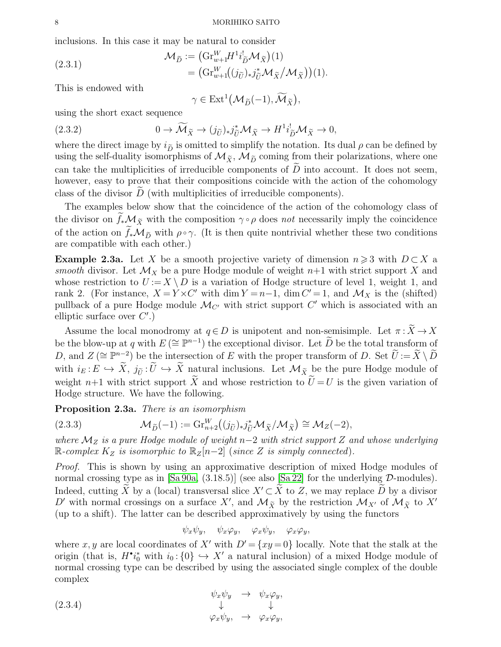inclusions. In this case it may be natural to consider

(2.3.1) 
$$
\mathcal{M}_{\widetilde{D}} := \left( \mathrm{Gr}_{w+1}^W H^1 i_{\widetilde{D}}^! \mathcal{M}_{\widetilde{X}} \right)(1) = \left( \mathrm{Gr}_{w+1}^W ((j_{\widetilde{U}})_* j_{\widetilde{U}}^* \mathcal{M}_{\widetilde{X}} / \mathcal{M}_{\widetilde{X}} \right)(1).
$$

This is endowed with

$$
\gamma\in\mathrm{Ext}^1\big(\mathcal{M}_{\widetilde{D}}(-1),\widetilde{\mathcal{M}}_{\widetilde{X}}\big),
$$

using the short exact sequence

(2.3.2) 
$$
0 \to \widetilde{\mathcal{M}}_{\widetilde{X}} \to (j_{\widetilde{U}})_{*} j_{\widetilde{U}}^{*} \mathcal{M}_{\widetilde{X}} \to H^{1} i_{\widetilde{D}}^{!} \mathcal{M}_{\widetilde{X}} \to 0,
$$

where the direct image by  $i_{\tilde{D}}$  is omitted to simplify the notation. Its dual  $\rho$  can be defined by using the self-duality isomorphisms of  $\mathcal{M}_{\tilde{\chi}}, \mathcal{M}_{\tilde{D}}$  coming from their polarizations, where one can take the multiplicities of irreducible components of  $D$  into account. It does not seem, however, easy to prove that their compositions coincide with the action of the cohomology class of the divisor  $\overline{D}$  (with multiplicities of irreducible components).

The examples below show that the coincidence of the action of the cohomology class of the divisor on  $f_*\mathcal{M}_{\tilde{X}}$  with the composition  $\gamma \circ \rho$  does not necessarily imply the coincidence of the action on  $\tilde{f}_*M_{\tilde{D}}$  with  $\rho \circ \gamma$ . (It is then quite nontrivial whether these two conditions are compatible with each other.)

<span id="page-7-3"></span>**Example 2.3a.** Let X be a smooth projective variety of dimension  $n \geq 3$  with  $D \subset X$  a smooth divisor. Let  $\mathcal{M}_X$  be a pure Hodge module of weight  $n+1$  with strict support X and whose restriction to  $U := X \setminus D$  is a variation of Hodge structure of level 1, weight 1, and rank 2. (For instance,  $X = Y \times C'$  with dim  $Y = n-1$ , dim  $C' = 1$ , and  $\mathcal{M}_X$  is the (shifted) pullback of a pure Hodge module  $\mathcal{M}_{C'}$  with strict support  $C'$  which is associated with an elliptic surface over  $C'.$ 

Assume the local monodromy at  $q \in D$  is unipotent and non-semisimple. Let  $\pi : \tilde{X} \to X$ be the blow-up at q with  $E (\cong \mathbb{P}^{n-1})$  the exceptional divisor. Let  $\widetilde{D}$  be the total transform of D, and  $Z (\cong \mathbb{P}^{n-2})$  be the intersection of E with the proper transform of D. Set  $\widetilde{U} := \widetilde{X} \setminus \widetilde{D}$ with  $i_E : E \hookrightarrow \tilde{X}, j_{\tilde{U}} : \tilde{U} \hookrightarrow \tilde{X}$  natural inclusions. Let  $\mathcal{M}_{\tilde{X}}$  be the pure Hodge module of weight  $n+1$  with strict support  $\widetilde{X}$  and whose restriction to  $\widetilde{U}=U$  is the given variation of Hodge structure. We have the following.

# <span id="page-7-1"></span>Proposition 2.3a. There is an isomorphism

(2.3.3) 
$$
\mathcal{M}_{\widetilde{D}}(-1) := \mathrm{Gr}_{n+2}^W((j_{\widetilde{U}})_*j_{\widetilde{U}}^*\mathcal{M}_{\widetilde{X}}/\mathcal{M}_{\widetilde{X}}) \cong \mathcal{M}_Z(-2),
$$

where  $\mathcal{M}_Z$  is a pure Hodge module of weight n–2 with strict support Z and whose underlying  $\mathbb{R}$ -complex  $K_Z$  is isomorphic to  $\mathbb{R}_Z[n-2]$  (since Z is simply connected).

Proof. This is shown by using an approximative description of mixed Hodge modules of normal crossing type as in  $[Sa 90a, (3.18.5)]$  (see also  $[Sa 22]$  for the underlying  $D$ -modules). Indeed, cutting  $\widetilde{X}$  by a (local) transversal slice  $X' \subset \widetilde{X}$  to Z, we may replace  $\widetilde{D}$  by a divisor D' with normal crossings on a surface X', and  $\mathcal{M}_{\tilde{X}}$  by the restriction  $\mathcal{M}_{X'}$  of  $\mathcal{M}_{\tilde{X}}$  to X' (up to a shift). The latter can be described approximatively by using the functors

<span id="page-7-0"></span>
$$
\psi_x \psi_y, \quad \psi_x \varphi_y, \quad \varphi_x \psi_y, \quad \varphi_x \varphi_y,
$$

where x, y are local coordinates of X' with  $D' = \{xy = 0\}$  locally. Note that the stalk at the origin (that is,  $H^{\bullet} i_0^*$  with  $i_0: \{0\} \hookrightarrow X'$  a natural inclusion) of a mixed Hodge module of normal crossing type can be described by using the associated single complex of the double complex

<span id="page-7-2"></span>(2.3.4) 
$$
\psi_x \psi_y \rightarrow \psi_x \varphi_y, \downarrow \qquad \qquad \downarrow \varphi_x \psi_y, \rightarrow \varphi_x \varphi_y,
$$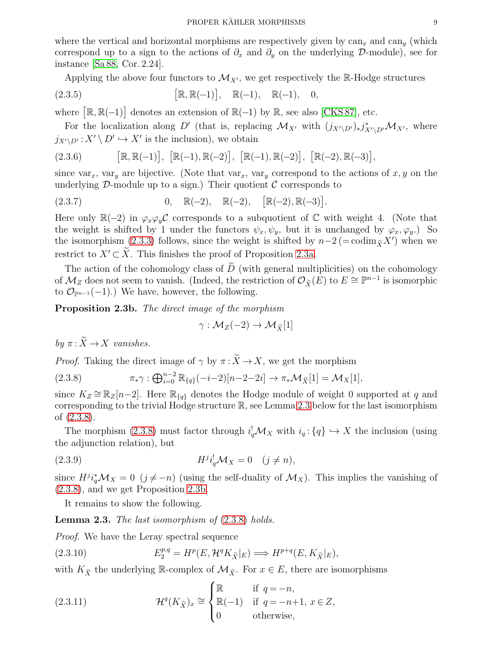where the vertical and horizontal morphisms are respectively given by  $can_x$  and  $can_y$  (which correspond up to a sign to the actions of  $\partial_x$  and  $\partial_y$  on the underlying D-module), see for instance [\[Sa 88,](#page-11-1) Cor. 2.24].

Applying the above four functors to  $\mathcal{M}_{X'}$ , we get respectively the R-Hodge structures

(2.3.5) 
$$
[\mathbb{R}, \mathbb{R}(-1)], \mathbb{R}(-1), \mathbb{R}(-1), 0,
$$

where  $[\mathbb{R}, \mathbb{R}(-1)]$  denotes an extension of  $\mathbb{R}(-1)$  by  $\mathbb{R}$ , see also [\[CKS 87\]](#page-11-6), etc.

For the localization along D' (that is, replacing  $\mathcal{M}_{X'}$  with  $(j_{X'\setminus D'})_*j_{X'\setminus D'}^*\mathcal{M}_{X'}$ , where  $j_{X'\setminus D'}: X'\setminus D' \hookrightarrow X'$  is the inclusion), we obtain

$$
(2.3.6) \qquad \qquad [\mathbb{R}, \mathbb{R}(-1)], \ [\mathbb{R}(-1), \mathbb{R}(-2)], \ [\mathbb{R}(-1), \mathbb{R}(-2)], \ [\mathbb{R}(-2), \mathbb{R}(-3)],
$$

since var<sub>x</sub>, var<sub>y</sub> are bijective. (Note that var<sub>x</sub>, var<sub>y</sub> correspond to the actions of x, y on the underlying  $\mathcal{D}$ -module up to a sign.) Their quotient  $\mathcal{C}$  corresponds to

(2.3.7) 
$$
0, \mathbb{R}(-2), \mathbb{R}(-2), [\mathbb{R}(-2), \mathbb{R}(-3)].
$$

Here only  $\mathbb{R}(-2)$  in  $\varphi_x\varphi_y\mathcal{C}$  corresponds to a subquotient of  $\mathbb C$  with weight 4. (Note that the weight is shifted by 1 under the functors  $\psi_x, \psi_y$ , but it is unchanged by  $\varphi_x, \varphi_y$ .) So the isomorphism [\(2.3.3\)](#page-7-0) follows, since the weight is shifted by  $n-2$  (= codim<sub> $\tilde{X}$ </sub>X') when we restrict to  $X' \subset \tilde{X}$ . This finishes the proof of Proposition [2.3a.](#page-7-1)

The action of the cohomology class of  $\widetilde{D}$  (with general multiplicities) on the cohomology of  $\mathcal{M}_Z$  does not seem to vanish. (Indeed, the restriction of  $\mathcal{O}_{\tilde{X}}(E)$  to  $E \cong \mathbb{P}^{n-1}$  is isomorphic to  $\mathcal{O}_{\mathbb{P}^{n-1}}(-1)$ .) We have, however, the following.

<span id="page-8-2"></span>Proposition 2.3b. The direct image of the morphism

<span id="page-8-3"></span><span id="page-8-1"></span>
$$
\gamma: \mathcal{M}_Z(-2) \to \mathcal{M}_{\widetilde{X}}[1]
$$

by  $\pi: \widetilde{X} \to X$  vanishes.

*Proof.* Taking the direct image of  $\gamma$  by  $\pi : \widetilde{X} \to X$ , we get the morphism

(2.3.8) 
$$
\pi_* \gamma : \bigoplus_{i=0}^{n-2} \mathbb{R}_{\{q\}}(-i-2)[n-2-2i] \to \pi_* \mathcal{M}_{\tilde{X}}[1] = \mathcal{M}_X[1],
$$

since  $K_Z \cong \mathbb{R}_Z[n-2]$ . Here  $\mathbb{R}_{\{q\}}$  denotes the Hodge module of weight 0 supported at q and corresponding to the trivial Hodge structure  $\mathbb{R}$ , see Lemma [2.3](#page-8-0) below for the last isomorphism of [\(2.3.8\)](#page-8-1).

The morphism [\(2.3.8\)](#page-8-1) must factor through  $i_q^! \mathcal{M}_X$  with  $i_q: \{q\} \hookrightarrow X$  the inclusion (using the adjunction relation), but

(2.3.9) 
$$
H^{j}i_{q}^{\dagger} \mathcal{M}_{X} = 0 \quad (j \neq n),
$$

since  $H^j i_q^* \mathcal{M}_X = 0$   $(j \neq -n)$  (using the self-duality of  $\mathcal{M}_X$ ). This implies the vanishing of [\(2.3.8\)](#page-8-1), and we get Proposition [2.3b.](#page-8-2)

It remains to show the following.

<span id="page-8-0"></span>Lemma 2.3. The last isomorphism of  $(2.3.8)$  holds.

*Proof.* We have the Leray spectral sequence

(2.3.10) 
$$
E_2^{p,q} = H^p(E, \mathcal{H}^q K_{\tilde{X}}|_E) \Longrightarrow H^{p+q}(E, K_{\tilde{X}}|_E),
$$

with  $K_{\tilde{X}}$  the underlying R-complex of  $\mathcal{M}_{\tilde{X}}$ . For  $x \in E$ , there are isomorphisms

(2.3.11) 
$$
\mathcal{H}^q(K_{\tilde{X}})_x \cong \begin{cases} \mathbb{R} & \text{if } q = -n, \\ \mathbb{R}(-1) & \text{if } q = -n+1, x \in Z, \\ 0 & \text{otherwise,} \end{cases}
$$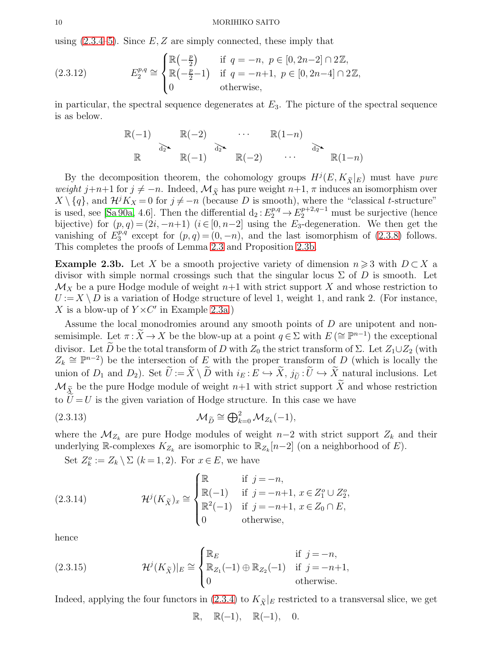using  $(2.3.4-5)$ . Since E, Z are simply connected, these imply that

(2.3.12) 
$$
E_2^{p,q} \cong \begin{cases} \mathbb{R}(-\frac{p}{2}) & \text{if } q = -n, \ p \in [0, 2n-2] \cap 2\mathbb{Z}, \\ \mathbb{R}(-\frac{p}{2}-1) & \text{if } q = -n+1, \ p \in [0, 2n-4] \cap 2\mathbb{Z}, \\ 0 & \text{otherwise}, \end{cases}
$$

in particular, the spectral sequence degenerates at  $E_3$ . The picture of the spectral sequence is as below.

$$
\mathbb{R}(-1) \qquad \mathbb{R}(-2) \qquad \cdots \qquad \mathbb{R}(1-n)
$$
  

$$
\mathbb{R} \qquad \mathbb{R}(-1) \qquad \mathbb{R}(-2) \qquad \cdots \qquad \mathbb{R}(1-n)
$$

By the decomposition theorem, the cohomology groups  $H^{j}(E, K_{\tilde{X}}|_{E})$  must have pure weight j+n+1 for  $j \neq -n$ . Indeed,  $\mathcal{M}_{\tilde{\chi}}$  has pure weight  $n+1$ ,  $\pi$  induces an isomorphism over  $X \setminus \{q\}$ , and  $\mathcal{H}^j K_X = 0$  for  $j \neq -n$  (because D is smooth), where the "classical t-structure" is used, see [\[Sa 90a,](#page-11-11) 4.6]. Then the differential  $d_2: E_2^{p,q} \to E_2^{p+2,q-1}$  must be surjective (hence bijective) for  $(p, q) = (2i, -n+1)$   $(i \in [0, n-2]$  using the  $E_3$ -degeneration. We then get the vanishing of  $E_3^{p,q}$  $a_3^{p,q}$  except for  $(p,q)=(0,-n)$ , and the last isomorphism of  $(2.3.8)$  follows. This completes the proofs of Lemma [2.3](#page-8-0) and Proposition [2.3b.](#page-8-2)

**Example 2.3b.** Let X be a smooth projective variety of dimension  $n \geq 3$  with  $D \subset X$  a divisor with simple normal crossings such that the singular locus  $\Sigma$  of D is smooth. Let  $\mathcal{M}_X$  be a pure Hodge module of weight  $n+1$  with strict support X and whose restriction to  $U := X \setminus D$  is a variation of Hodge structure of level 1, weight 1, and rank 2. (For instance, X is a blow-up of  $Y \times C'$  in Example [2.3a.](#page-7-3))

Assume the local monodromies around any smooth points of D are unipotent and nonsemisimple. Let  $\pi : \widetilde{X} \to X$  be the blow-up at a point  $q \in \Sigma$  with  $E \ (\cong \mathbb{P}^{n-1})$  the exceptional divisor. Let  $\widetilde{D}$  be the total transform of D with  $Z_0$  the strict transform of  $\Sigma$ . Let  $Z_1 \cup Z_2$  (with  $Z_k \cong \mathbb{P}^{n-2}$ ) be the intersection of E with the proper transform of D (which is locally the union of  $D_1$  and  $D_2$ ). Set  $U := X \setminus D$  with  $i_E : E \hookrightarrow X$ ,  $j_{\tilde{U}} : U \hookrightarrow X$  natural inclusions. Let  $\mathcal{M}_{\tilde{X}}$  be the pure Hodge module of weight  $n+1$  with strict support  $\tilde{X}$  and whose restriction to  $U = U$  is the given variation of Hodge structure. In this case we have

(2.3.13) 
$$
\mathcal{M}_{\tilde{D}} \cong \bigoplus_{k=0}^{2} \mathcal{M}_{Z_k}(-1),
$$

where the  $\mathcal{M}_{Z_k}$  are pure Hodge modules of weight  $n-2$  with strict support  $Z_k$  and their underlying R-complexes  $K_{Z_k}$  are isomorphic to  $\mathbb{R}_{Z_k}[n-2]$  (on a neighborhood of E).

Set  $Z_k^o := Z_k \setminus \Sigma$   $(k = 1, 2)$ . For  $x \in E$ , we have

(2.3.14) 
$$
\mathcal{H}^{j}(K_{\tilde{X}})_{x} \cong \begin{cases} \mathbb{R} & \text{if } j = -n, \\ \mathbb{R}(-1) & \text{if } j = -n+1, x \in Z_{1}^{o} \cup Z_{2}^{o}, \\ \mathbb{R}^{2}(-1) & \text{if } j = -n+1, x \in Z_{0} \cap E, \\ 0 & \text{otherwise}, \end{cases}
$$

hence

(2.3.15) 
$$
\mathcal{H}^{j}(K_{\tilde{X}})|_{E} \cong \begin{cases} \mathbb{R}_{E} & \text{if } j = -n, \\ \mathbb{R}_{Z_{1}}(-1) \oplus \mathbb{R}_{Z_{2}}(-1) & \text{if } j = -n+1, \\ 0 & \text{otherwise.} \end{cases}
$$

Indeed, applying the four functors in [\(2.3.4\)](#page-7-2) to  $K_{\tilde{X}}|_E$  restricted to a transversal slice, we get

 $\mathbb{R}, \quad \mathbb{R}(-1), \quad \mathbb{R}(-1), \quad 0.$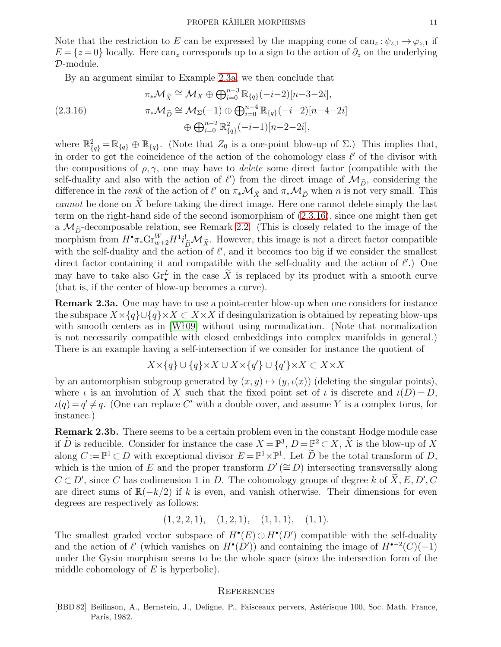Note that the restriction to E can be expressed by the mapping cone of  $\text{can}_z : \psi_{z,1} \to \varphi_{z,1}$  if  $E = \{z = 0\}$  locally. Here can<sub>z</sub> corresponds up to a sign to the action of  $\partial_z$  on the underlying D-module.

<span id="page-10-1"></span>By an argument similar to Example [2.3a,](#page-7-3) we then conclude that

$$
\pi_* \mathcal{M}_{\tilde{X}} \cong \mathcal{M}_X \oplus \bigoplus_{i=0}^{n-3} \mathbb{R}_{\{q\}}(-i-2)[n-3-2i],
$$
  
(2.3.16)  

$$
\pi_* \mathcal{M}_{\tilde{D}} \cong \mathcal{M}_{\Sigma}(-1) \oplus \bigoplus_{i=0}^{n-4} \mathbb{R}_{\{q\}}(-i-2)[n-4-2i]
$$

$$
\oplus \bigoplus_{i=0}^{n-2} \mathbb{R}_{\{q\}}^2(-i-1)[n-2-2i],
$$

where  $\mathbb{R}^2_{\{q\}} = \mathbb{R}_{\{q\}} \oplus \mathbb{R}_{\{q\}}$ . (Note that  $Z_0$  is a one-point blow-up of  $\Sigma$ .) This implies that, in order to get the coincidence of the action of the cohomology class  $\ell'$  of the divisor with the compositions of  $\rho, \gamma$ , one may have to *delete* some direct factor (compatible with the self-duality and also with the action of  $\ell'$ ) from the direct image of  $\mathcal{M}_{\tilde{D}}$ , considering the difference in the *rank* of the action of  $\ell'$  on  $\pi_*\mathcal{M}_{\tilde{X}}$  and  $\pi_*\mathcal{M}_{\tilde{D}}$  when *n* is not very small. This cannot be done on  $X$  before taking the direct image. Here one cannot delete simply the last term on the right-hand side of the second isomorphism of [\(2.3.16\)](#page-10-1), since one might then get a  $\mathcal{M}_{\tilde{D}}$ -decomposable relation, see Remark [2.2.](#page-6-1) (This is closely related to the image of the morphism from  $H^{\bullet}\pi_{*}\mathrm{Gr}_{w+2}^W H^1i_{\widetilde{D}}^!\mathcal{M}_{\widetilde{X}}$ . However, this image is not a direct factor compatible with the self-duality and the action of  $\ell'$ , and it becomes too big if we consider the smallest direct factor containing it and compatible with the self-duality and the action of  $\ell'$ .) One may have to take also  $\text{Gr}_{\bullet}^{L}$  in the case  $\widetilde{X}$  is replaced by its product with a smooth curve (that is, if the center of blow-up becomes a curve).

Remark 2.3a. One may have to use a point-center blow-up when one considers for instance the subspace  $X \times \{q\} \cup \{q\} \times X \subset X \times X$  if desingularization is obtained by repeating blow-ups with smooth centers as in  $[\text{W109}]$  without using normalization. (Note that normalization is not necessarily compatible with closed embeddings into complex manifolds in general.) There is an example having a self-intersection if we consider for instance the quotient of

$$
X \times \{q\} \cup \{q\} \times X \cup X \times \{q'\} \cup \{q'\} \times X \subset X \times X
$$

by an automorphism subgroup generated by  $(x, y) \mapsto (y, \iota(x))$  (deleting the singular points), where  $\iota$  is an involution of X such that the fixed point set of  $\iota$  is discrete and  $\iota(D) = D$ ,  $\iota(q) = q' \neq q$ . (One can replace C' with a double cover, and assume Y is a complex torus, for instance.)

Remark 2.3b. There seems to be a certain problem even in the constant Hodge module case if D is reducible. Consider for instance the case  $X = \mathbb{P}^3$ ,  $D = \mathbb{P}^2 \subset X$ , X is the blow-up of X along  $C := \mathbb{P}^1 \subset D$  with exceptional divisor  $E = \mathbb{P}^1 \times \mathbb{P}^1$ . Let  $D$  be the total transform of  $D$ , which is the union of E and the proper transform  $D'(\cong D)$  intersecting transversally along  $C \subset D'$ , since C has codimension 1 in D. The cohomology groups of degree k of  $\overline{X}, E, D', C$ are direct sums of  $\mathbb{R}(-k/2)$  if k is even, and vanish otherwise. Their dimensions for even degrees are respectively as follows:

$$
(1, 2, 2, 1), (1, 2, 1), (1, 1, 1), (1, 1).
$$

The smallest graded vector subspace of  $H^{\bullet}(E) \oplus H^{\bullet}(D')$  compatible with the self-duality and the action of  $\ell'$  (which vanishes on  $H^{\bullet}(D')$ ) and containing the image of  $H^{\bullet-2}(C)(-1)$ under the Gysin morphism seems to be the whole space (since the intersection form of the middle cohomology of  $E$  is hyperbolic).

#### **REFERENCES**

<span id="page-10-0"></span>[BBD 82] Beilinson, A., Bernstein, J., Deligne, P., Faisceaux pervers, Astérisque 100, Soc. Math. France, Paris, 1982.